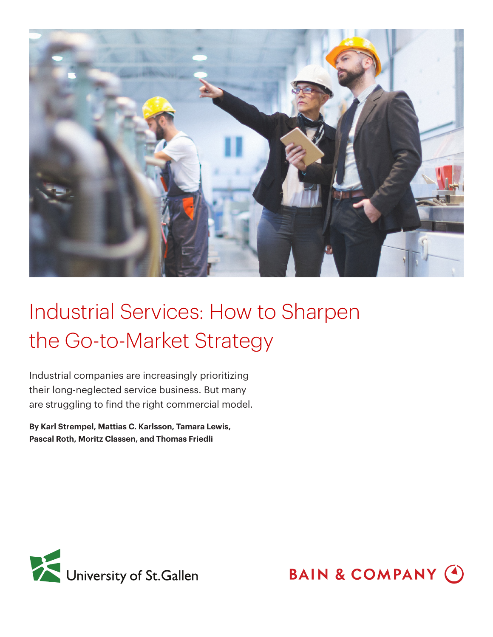

Industrial companies are increasingly prioritizing their long-neglected service business. But many are struggling to find the right commercial model.

**By Karl Strempel, Mattias C. Karlsson, Tamara Lewis, Pascal Roth, Moritz Classen, and Thomas Friedli**



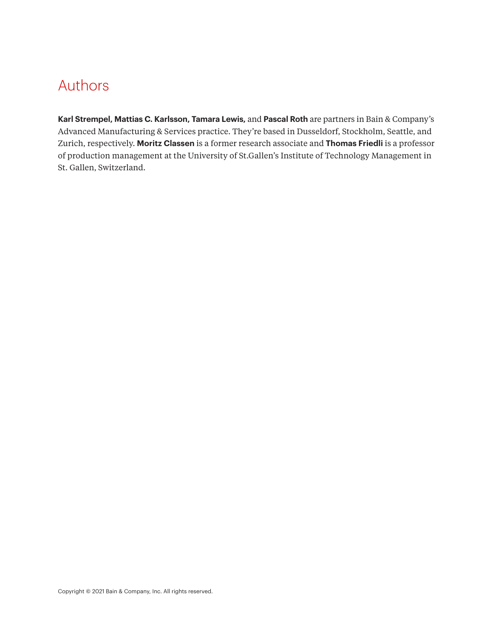# Authors

**Karl Strempel, Mattias C. Karlsson, Tamara Lewis,** and **Pascal Roth** are partners in Bain & Company's Advanced Manufacturing & Services practice. They're based in Dusseldorf, Stockholm, Seattle, and Zurich, respectively. **Moritz Classen** is a former research associate and **Thomas Friedli** is a professor of production management at the University of St.Gallen's Institute of Technology Management in St. Gallen, Switzerland.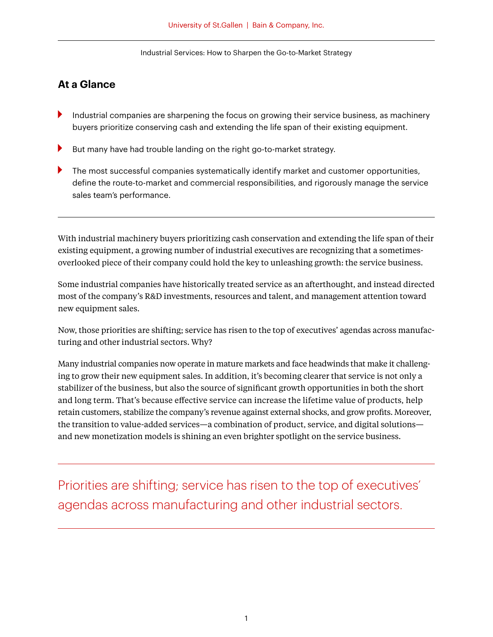### **At a Glance**

- Industrial companies are sharpening the focus on growing their service business, as machinery buyers prioritize conserving cash and extending the life span of their existing equipment.
- But many have had trouble landing on the right go-to-market strategy.
- The most successful companies systematically identify market and customer opportunities, define the route-to-market and commercial responsibilities, and rigorously manage the service sales team's performance.

With industrial machinery buyers prioritizing cash conservation and extending the life span of their existing equipment, a growing number of industrial executives are recognizing that a sometimesoverlooked piece of their company could hold the key to unleashing growth: the service business.

Some industrial companies have historically treated service as an afterthought, and instead directed most of the company's R&D investments, resources and talent, and management attention toward new equipment sales.

Now, those priorities are shifting; service has risen to the top of executives' agendas across manufacturing and other industrial sectors. Why?

Many industrial companies now operate in mature markets and face headwinds that make it challenging to grow their new equipment sales. In addition, it's becoming clearer that service is not only a stabilizer of the business, but also the source of significant growth opportunities in both the short and long term. That's because effective service can increase the lifetime value of products, help retain customers, stabilize the company's revenue against external shocks, and grow profits. Moreover, the transition to value-added services—a combination of product, service, and digital solutions and new monetization models is shining an even brighter spotlight on the service business.

Priorities are shifting; service has risen to the top of executives' agendas across manufacturing and other industrial sectors.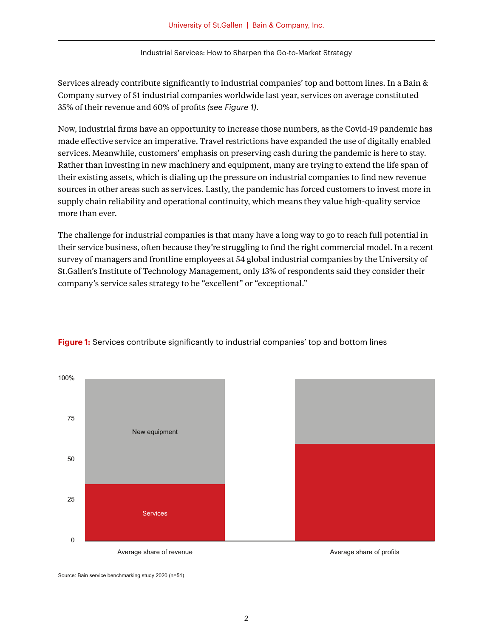Services already contribute significantly to industrial companies' top and bottom lines. In a Bain & Company survey of 51 industrial companies worldwide last year, services on average constituted 35% of their revenue and 60% of profits *(see Figure 1)*.

Now, industrial firms have an opportunity to increase those numbers, as the Covid-19 pandemic has made effective service an imperative. Travel restrictions have expanded the use of digitally enabled services. Meanwhile, customers' emphasis on preserving cash during the pandemic is here to stay. Rather than investing in new machinery and equipment, many are trying to extend the life span of their existing assets, which is dialing up the pressure on industrial companies to find new revenue sources in other areas such as services. Lastly, the pandemic has forced customers to invest more in supply chain reliability and operational continuity, which means they value high-quality service more than ever.

The challenge for industrial companies is that many have a long way to go to reach full potential in their service business, often because they're struggling to find the right commercial model. In a recent survey of managers and frontline employees at 54 global industrial companies by the University of St.Gallen's Institute of Technology Management, only 13% of respondents said they consider their company's service sales strategy to be "excellent" or "exceptional."



**Figure 1:** Services contribute significantly to industrial companies' top and bottom lines

Source: Bain service benchmarking study 2020 (n=51)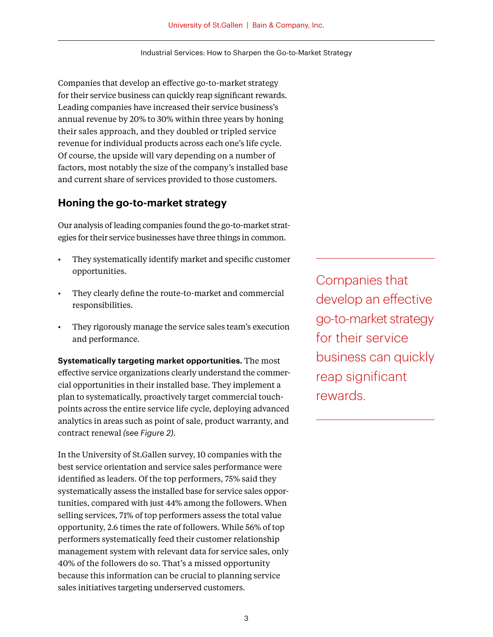Companies that develop an effective go-to-market strategy for their service business can quickly reap significant rewards. Leading companies have increased their service business's annual revenue by 20% to 30% within three years by honing their sales approach, and they doubled or tripled service revenue for individual products across each one's life cycle. Of course, the upside will vary depending on a number of factors, most notably the size of the company's installed base and current share of services provided to those customers.

### **Honing the go-to-market strategy**

Our analysis of leading companies found the go-to-market strategies for their service businesses have three things in common.

- They systematically identify market and specific customer opportunities.
- They clearly define the route-to-market and commercial responsibilities.
- They rigorously manage the service sales team's execution and performance.

**Systematically targeting market opportunities.** The most effective service organizations clearly understand the commercial opportunities in their installed base. They implement a plan to systematically, proactively target commercial touchpoints across the entire service life cycle, deploying advanced analytics in areas such as point of sale, product warranty, and contract renewal *(see Figure 2)*.

In the University of St.Gallen survey, 10 companies with the best service orientation and service sales performance were identified as leaders. Of the top performers, 75% said they systematically assess the installed base for service sales opportunities, compared with just 44% among the followers. When selling services, 71% of top performers assess the total value opportunity, 2.6 times the rate of followers. While 56% of top performers systematically feed their customer relationship management system with relevant data for service sales, only 40% of the followers do so. That's a missed opportunity because this information can be crucial to planning service sales initiatives targeting underserved customers.

Companies that develop an effective go-to-market strategy for their service business can quickly reap significant rewards.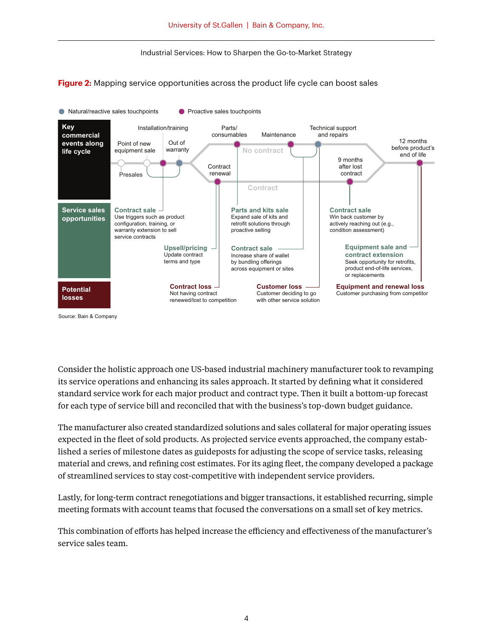**Figure 2:** Mapping service opportunities across the product life cycle can boost sales



Source: Bain & Company

Consider the holistic approach one US-based industrial machinery manufacturer took to revamping its service operations and enhancing its sales approach. It started by defining what it considered standard service work for each major product and contract type. Then it built a bottom-up forecast for each type of service bill and reconciled that with the business's top-down budget guidance.

The manufacturer also created standardized solutions and sales collateral for major operating issues expected in the fleet of sold products. As projected service events approached, the company established a series of milestone dates as guideposts for adjusting the scope of service tasks, releasing material and crews, and refining cost estimates. For its aging fleet, the company developed a package of streamlined services to stay cost-competitive with independent service providers.

Lastly, for long-term contract renegotiations and bigger transactions, it established recurring, simple meeting formats with account teams that focused the conversations on a small set of key metrics.

This combination of efforts has helped increase the efficiency and effectiveness of the manufacturer's service sales team.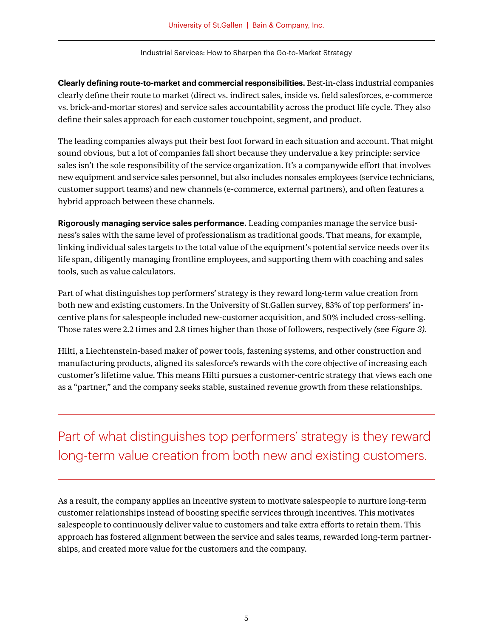**Clearly defining route-to-market and commercial responsibilities.** Best-in-class industrial companies clearly define their route to market (direct vs. indirect sales, inside vs. field salesforces, e-commerce vs. brick-and-mortar stores) and service sales accountability across the product life cycle. They also define their sales approach for each customer touchpoint, segment, and product.

The leading companies always put their best foot forward in each situation and account. That might sound obvious, but a lot of companies fall short because they undervalue a key principle: service sales isn't the sole responsibility of the service organization. It's a companywide effort that involves new equipment and service sales personnel, but also includes nonsales employees (service technicians, customer support teams) and new channels (e-commerce, external partners), and often features a hybrid approach between these channels.

**Rigorously managing service sales performance.** Leading companies manage the service business's sales with the same level of professionalism as traditional goods. That means, for example, linking individual sales targets to the total value of the equipment's potential service needs over its life span, diligently managing frontline employees, and supporting them with coaching and sales tools, such as value calculators.

Part of what distinguishes top performers' strategy is they reward long-term value creation from both new and existing customers. In the University of St.Gallen survey, 83% of top performers' incentive plans for salespeople included new-customer acquisition, and 50% included cross-selling. Those rates were 2.2 times and 2.8 times higher than those of followers, respectively *(see Figure 3)*.

Hilti, a Liechtenstein-based maker of power tools, fastening systems, and other construction and manufacturing products, aligned its salesforce's rewards with the core objective of increasing each customer's lifetime value. This means Hilti pursues a customer-centric strategy that views each one as a "partner," and the company seeks stable, sustained revenue growth from these relationships.

Part of what distinguishes top performers' strategy is they reward long-term value creation from both new and existing customers.

As a result, the company applies an incentive system to motivate salespeople to nurture long-term customer relationships instead of boosting specific services through incentives. This motivates salespeople to continuously deliver value to customers and take extra efforts to retain them. This approach has fostered alignment between the service and sales teams, rewarded long-term partnerships, and created more value for the customers and the company.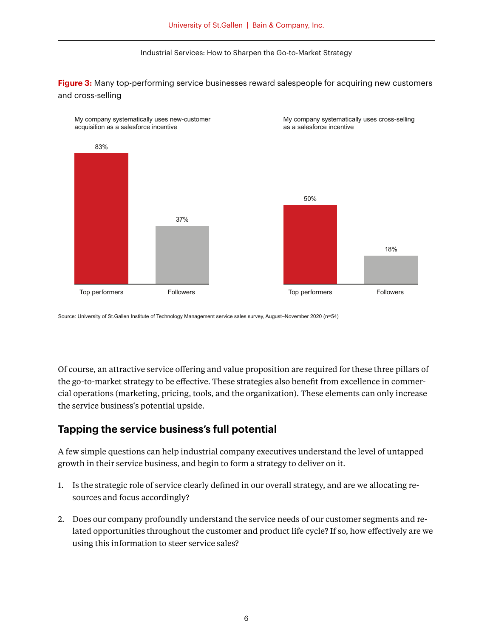**Figure 3:** Many top-performing service businesses reward salespeople for acquiring new customers and cross-selling



Source: University of St.Gallen Institute of Technology Management service sales survey, August–November 2020 (n=54)

Of course, an attractive service offering and value proposition are required for these three pillars of the go-to-market strategy to be effective. These strategies also benefit from excellence in commercial operations (marketing, pricing, tools, and the organization). These elements can only increase the service business's potential upside.

### **Tapping the service business's full potential**

A few simple questions can help industrial company executives understand the level of untapped growth in their service business, and begin to form a strategy to deliver on it.

- 1. Is the strategic role of service clearly defined in our overall strategy, and are we allocating resources and focus accordingly?
- 2. Does our company profoundly understand the service needs of our customer segments and related opportunities throughout the customer and product life cycle? If so, how effectively are we using this information to steer service sales?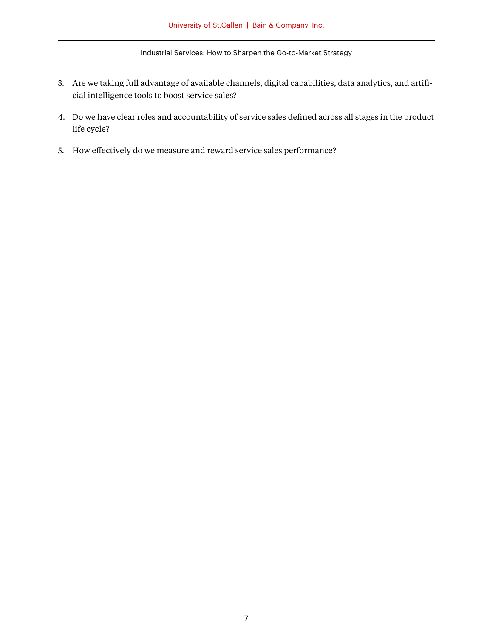- 3. Are we taking full advantage of available channels, digital capabilities, data analytics, and artifi cial intelligence tools to boost service sales?
- 4. Do we have clear roles and accountability of service sales defined across all stages in the product life cycle?
- 5. How effectively do we measure and reward service sales performance?